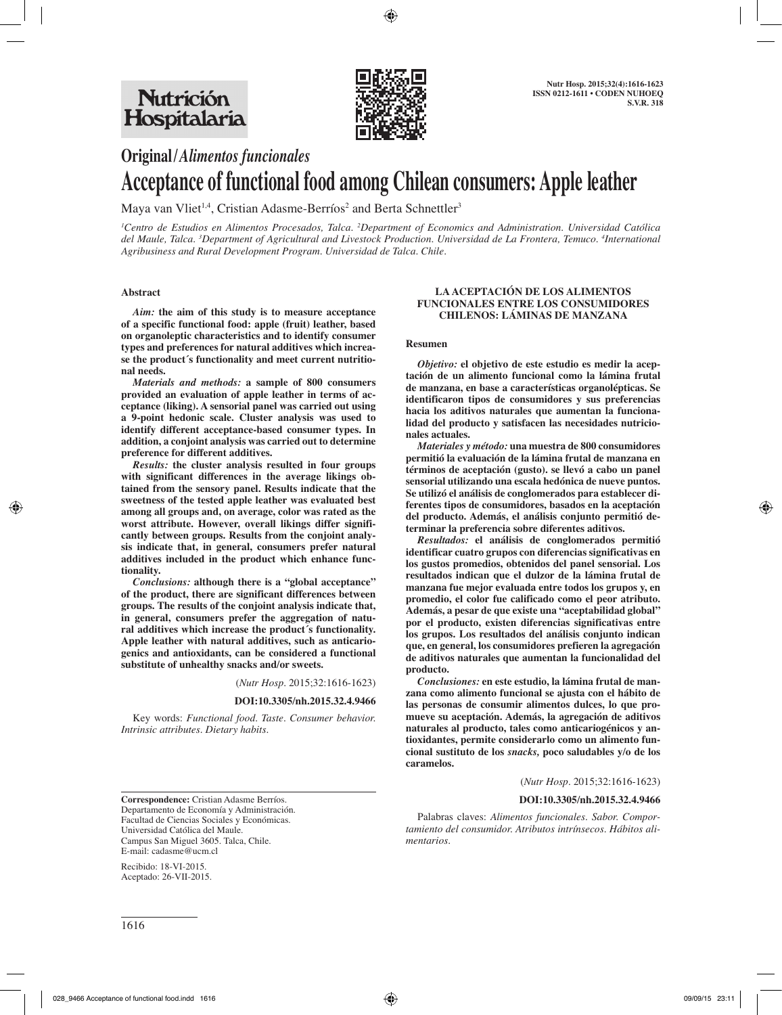

# **Original/***Alimentos funcionales*

# **Acceptance of functional food among Chilean consumers: Apple leather**

Maya van Vliet<sup>1,4</sup>, Cristian Adasme-Berríos<sup>2</sup> and Berta Schnettler<sup>3</sup>

*1 Centro de Estudios en Alimentos Procesados, Talca. 2 Department of Economics and Administration. Universidad Católica del Maule, Talca. 3 Department of Agricultural and Livestock Production. Universidad de La Frontera, Temuco. 4 International Agribusiness and Rural Development Program. Universidad de Talca. Chile.*

## **Abstract**

*Aim:* **the aim of this study is to measure acceptance of a specific functional food: apple (fruit) leather, based on organoleptic characteristics and to identify consumer types and preferences for natural additives which increase the product´s functionality and meet current nutritional needs.**

*Materials and methods:* **a sample of 800 consumers provided an evaluation of apple leather in terms of acceptance (liking). A sensorial panel was carried out using a 9-point hedonic scale. Cluster analysis was used to identify different acceptance-based consumer types. In addition, a conjoint analysis was carried out to determine preference for different additives.**

*Results:* **the cluster analysis resulted in four groups with significant differences in the average likings obtained from the sensory panel. Results indicate that the sweetness of the tested apple leather was evaluated best among all groups and, on average, color was rated as the worst attribute. However, overall likings differ significantly between groups. Results from the conjoint analysis indicate that, in general, consumers prefer natural additives included in the product which enhance functionality.** 

*Conclusions:* **although there is a "global acceptance" of the product, there are significant differences between groups. The results of the conjoint analysis indicate that, in general, consumers prefer the aggregation of natural additives which increase the product´s functionality. Apple leather with natural additives, such as anticariogenics and antioxidants, can be considered a functional substitute of unhealthy snacks and/or sweets.** 

(*Nutr Hosp.* 2015;32:1616-1623)

#### **DOI:10.3305/nh.2015.32.4.9466**

Key words: *Functional food. Taste. Consumer behavior. Intrinsic attributes. Dietary habits.*

#### **LA ACEPTACIÓN DE LOS ALIMENTOS FUNCIONALES ENTRE LOS CONSUMIDORES CHILENOS: LÁMINAS DE MANZANA**

#### **Resumen**

*Objetivo:* **el objetivo de este estudio es medir la aceptación de un alimento funcional como la lámina frutal de manzana, en base a características organolépticas. Se identificaron tipos de consumidores y sus preferencias hacia los aditivos naturales que aumentan la funcionalidad del producto y satisfacen las necesidades nutricionales actuales.**

*Materiales y método:* **una muestra de 800 consumidores permitió la evaluación de la lámina frutal de manzana en términos de aceptación (gusto). se llevó a cabo un panel sensorial utilizando una escala hedónica de nueve puntos. Se utilizó el análisis de conglomerados para establecer diferentes tipos de consumidores, basados en la aceptación del producto. Además, el análisis conjunto permitió determinar la preferencia sobre diferentes aditivos.**

*Resultados:* **el análisis de conglomerados permitió identificar cuatro grupos con diferencias significativas en los gustos promedios, obtenidos del panel sensorial. Los resultados indican que el dulzor de la lámina frutal de manzana fue mejor evaluada entre todos los grupos y, en promedio, el color fue calificado como el peor atributo. Además, a pesar de que existe una "aceptabilidad global" por el producto, existen diferencias significativas entre los grupos. Los resultados del análisis conjunto indican que, en general, los consumidores prefieren la agregación de aditivos naturales que aumentan la funcionalidad del producto.**

*Conclusiones:* **en este estudio, la lámina frutal de manzana como alimento funcional se ajusta con el hábito de las personas de consumir alimentos dulces, lo que promueve su aceptación. Además, la agregación de aditivos naturales al producto, tales como anticariogénicos y antioxidantes, permite considerarlo como un alimento funcional sustituto de los** *snacks,* **poco saludables y/o de los caramelos.** 

(*Nutr Hosp.* 2015;32:1616-1623)

#### **DOI:10.3305/nh.2015.32.4.9466**

**Correspondence:** Cristian Adasme Berríos. Departamento de Economía y Administración. Facultad de Ciencias Sociales y Económicas. Universidad Católica del Maule. Campus San Miguel 3605. Talca, Chile. E-mail: cadasme@ucm.cl

Recibido: 18-VI-2015. Aceptado: 26-VII-2015.

Palabras claves: *Alimentos funcionales. Sabor. Comportamiento del consumidor. Atributos intrínsecos. Hábitos alimentarios.*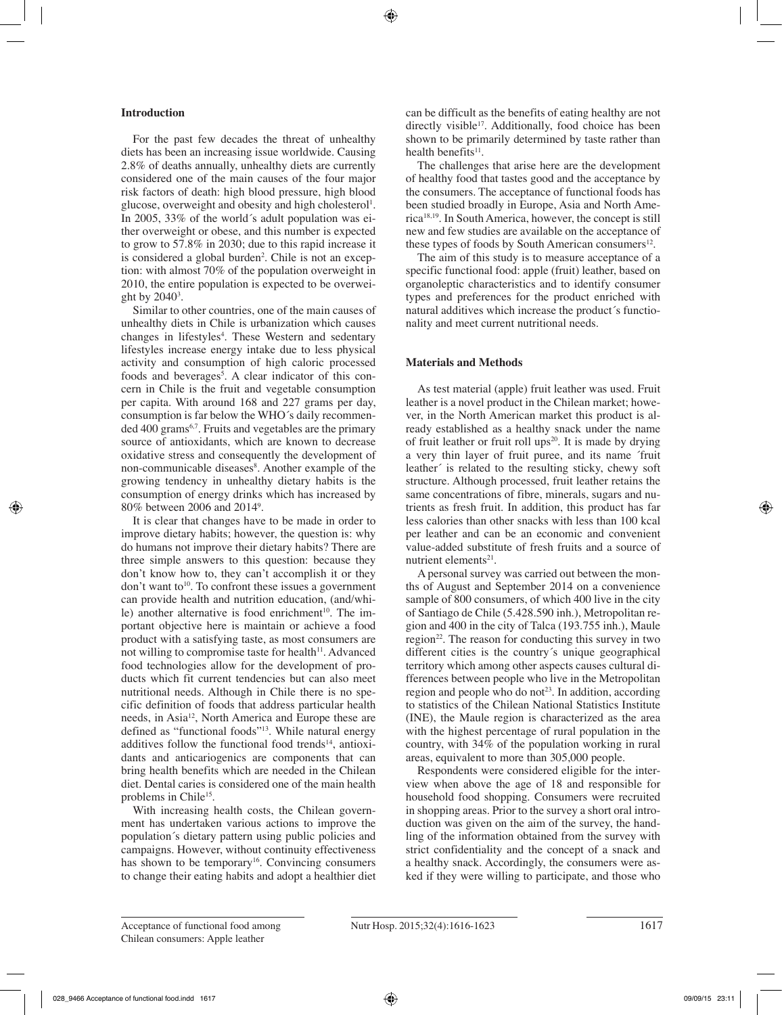# **Introduction**

For the past few decades the threat of unhealthy diets has been an increasing issue worldwide. Causing 2.8% of deaths annually, unhealthy diets are currently considered one of the main causes of the four major risk factors of death: high blood pressure, high blood glucose, overweight and obesity and high cholesterol<sup>1</sup>. In 2005, 33% of the world´s adult population was either overweight or obese, and this number is expected to grow to 57.8% in 2030; due to this rapid increase it is considered a global burden<sup>2</sup>. Chile is not an exception: with almost 70% of the population overweight in 2010, the entire population is expected to be overweight by  $2040^3$ .

Similar to other countries, one of the main causes of unhealthy diets in Chile is urbanization which causes changes in lifestyles<sup>4</sup>. These Western and sedentary lifestyles increase energy intake due to less physical activity and consumption of high caloric processed foods and beverages<sup>5</sup>. A clear indicator of this concern in Chile is the fruit and vegetable consumption per capita. With around 168 and 227 grams per day, consumption is far below the WHO´s daily recommended 400 grams<sup>6,7</sup>. Fruits and vegetables are the primary source of antioxidants, which are known to decrease oxidative stress and consequently the development of non-communicable diseases<sup>8</sup>. Another example of the growing tendency in unhealthy dietary habits is the consumption of energy drinks which has increased by 80% between 2006 and 20149 .

It is clear that changes have to be made in order to improve dietary habits; however, the question is: why do humans not improve their dietary habits? There are three simple answers to this question: because they don't know how to, they can't accomplish it or they don't want to<sup>10</sup>. To confront these issues a government can provide health and nutrition education, (and/while) another alternative is food enrichment<sup>10</sup>. The important objective here is maintain or achieve a food product with a satisfying taste, as most consumers are not willing to compromise taste for health $11$ . Advanced food technologies allow for the development of products which fit current tendencies but can also meet nutritional needs. Although in Chile there is no specific definition of foods that address particular health needs, in Asia12, North America and Europe these are defined as "functional foods"13. While natural energy additives follow the functional food trends<sup>14</sup>, antioxidants and anticariogenics are components that can bring health benefits which are needed in the Chilean diet. Dental caries is considered one of the main health problems in Chile<sup>15</sup>.

With increasing health costs, the Chilean government has undertaken various actions to improve the population´s dietary pattern using public policies and campaigns. However, without continuity effectiveness has shown to be temporary<sup>16</sup>. Convincing consumers to change their eating habits and adopt a healthier diet can be difficult as the benefits of eating healthy are not directly visible<sup>17</sup>. Additionally, food choice has been shown to be primarily determined by taste rather than health benefits $11$ .

The challenges that arise here are the development of healthy food that tastes good and the acceptance by the consumers. The acceptance of functional foods has been studied broadly in Europe, Asia and North America18,19. In South America, however, the concept is still new and few studies are available on the acceptance of these types of foods by South American consumers $12$ .

The aim of this study is to measure acceptance of a specific functional food: apple (fruit) leather, based on organoleptic characteristics and to identify consumer types and preferences for the product enriched with natural additives which increase the product´s functionality and meet current nutritional needs.

# **Materials and Methods**

As test material (apple) fruit leather was used. Fruit leather is a novel product in the Chilean market; however, in the North American market this product is already established as a healthy snack under the name of fruit leather or fruit roll ups<sup>20</sup>. It is made by drying a very thin layer of fruit puree, and its name ´fruit leather´ is related to the resulting sticky, chewy soft structure. Although processed, fruit leather retains the same concentrations of fibre, minerals, sugars and nutrients as fresh fruit. In addition, this product has far less calories than other snacks with less than 100 kcal per leather and can be an economic and convenient value-added substitute of fresh fruits and a source of nutrient elements $21$ .

A personal survey was carried out between the months of August and September 2014 on a convenience sample of 800 consumers, of which 400 live in the city of Santiago de Chile (5.428.590 inh.), Metropolitan region and 400 in the city of Talca (193.755 inh.), Maule region $22$ . The reason for conducting this survey in two different cities is the country´s unique geographical territory which among other aspects causes cultural differences between people who live in the Metropolitan region and people who do not<sup>23</sup>. In addition, according to statistics of the Chilean National Statistics Institute (INE), the Maule region is characterized as the area with the highest percentage of rural population in the country, with 34% of the population working in rural areas, equivalent to more than 305,000 people.

Respondents were considered eligible for the interview when above the age of 18 and responsible for household food shopping. Consumers were recruited in shopping areas. Prior to the survey a short oral introduction was given on the aim of the survey, the handling of the information obtained from the survey with strict confidentiality and the concept of a snack and a healthy snack. Accordingly, the consumers were asked if they were willing to participate, and those who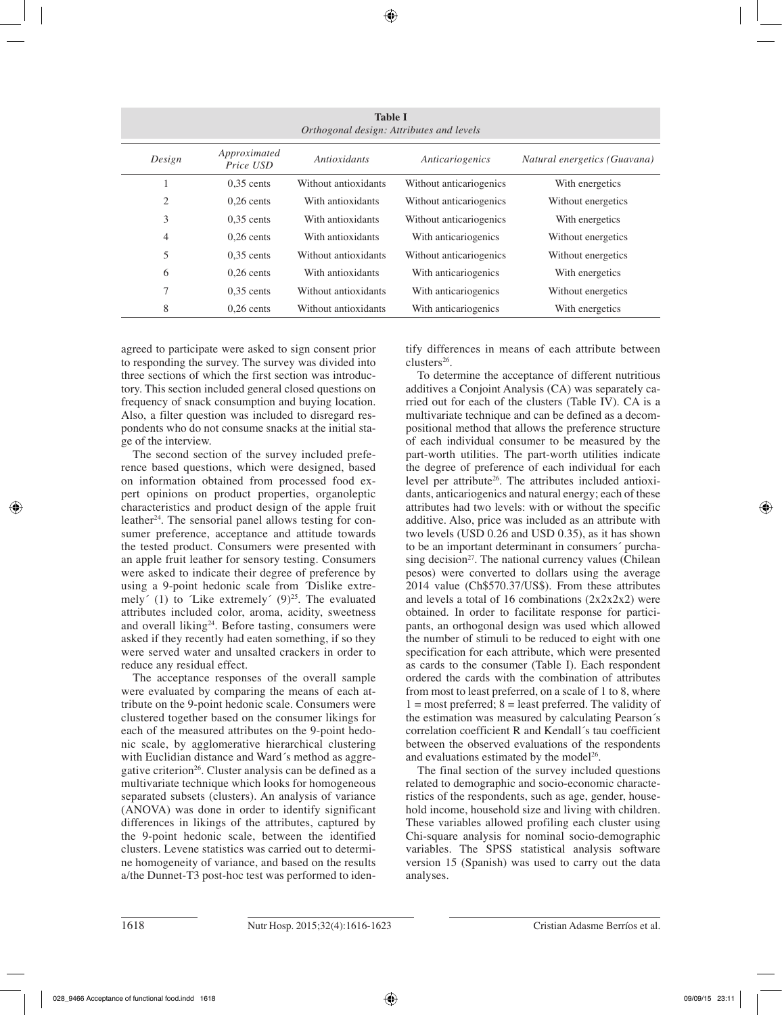| <b>Table I</b><br>Orthogonal design: Attributes and levels |                                           |                      |                         |                              |  |  |
|------------------------------------------------------------|-------------------------------------------|----------------------|-------------------------|------------------------------|--|--|
| Design                                                     | Approximated<br>Antioxidants<br>Price USD |                      | Anticariogenics         | Natural energetics (Guavana) |  |  |
|                                                            | $0.35$ cents                              | Without antioxidants | Without anticariogenics | With energetics              |  |  |
| 2                                                          | $0.26$ cents                              | With antioxidants    | Without anticariogenics | Without energetics           |  |  |
| 3                                                          | $0.35$ cents                              | With antioxidants    | Without anticariogenics | With energetics              |  |  |
| $\overline{4}$                                             | $0.26$ cents                              | With antioxidants    | With anticariogenics    | Without energetics           |  |  |
| 5                                                          | $0.35$ cents                              | Without antioxidants | Without anticariogenics | Without energetics           |  |  |
| 6                                                          | $0.26$ cents                              | With antioxidants    | With anticariogenics    | With energetics              |  |  |
| 7                                                          | $0.35$ cents                              | Without antioxidants | With anticariogenics    | Without energetics           |  |  |
| 8                                                          | $0.26$ cents                              | Without antioxidants | With anticariogenics    | With energetics              |  |  |

agreed to participate were asked to sign consent prior to responding the survey. The survey was divided into three sections of which the first section was introductory. This section included general closed questions on frequency of snack consumption and buying location. Also, a filter question was included to disregard respondents who do not consume snacks at the initial stage of the interview.

The second section of the survey included preference based questions, which were designed, based on information obtained from processed food expert opinions on product properties, organoleptic characteristics and product design of the apple fruit leather<sup>24</sup>. The sensorial panel allows testing for consumer preference, acceptance and attitude towards the tested product. Consumers were presented with an apple fruit leather for sensory testing. Consumers were asked to indicate their degree of preference by using a 9-point hedonic scale from ´Dislike extremely' (1) to 'Like extremely'  $(9)^{25}$ . The evaluated attributes included color, aroma, acidity, sweetness and overall liking<sup>24</sup>. Before tasting, consumers were asked if they recently had eaten something, if so they were served water and unsalted crackers in order to reduce any residual effect.

The acceptance responses of the overall sample were evaluated by comparing the means of each attribute on the 9-point hedonic scale. Consumers were clustered together based on the consumer likings for each of the measured attributes on the 9-point hedonic scale, by agglomerative hierarchical clustering with Euclidian distance and Ward´s method as aggregative criterion<sup>26</sup>. Cluster analysis can be defined as a multivariate technique which looks for homogeneous separated subsets (clusters). An analysis of variance (ANOVA) was done in order to identify significant differences in likings of the attributes, captured by the 9-point hedonic scale, between the identified clusters. Levene statistics was carried out to determine homogeneity of variance, and based on the results a/the Dunnet-T3 post-hoc test was performed to identify differences in means of each attribute between clusters<sup>26</sup>.

To determine the acceptance of different nutritious additives a Conjoint Analysis (CA) was separately carried out for each of the clusters (Table IV). CA is a multivariate technique and can be defined as a decompositional method that allows the preference structure of each individual consumer to be measured by the part-worth utilities. The part-worth utilities indicate the degree of preference of each individual for each level per attribute<sup>26</sup>. The attributes included antioxidants, anticariogenics and natural energy; each of these attributes had two levels: with or without the specific additive. Also, price was included as an attribute with two levels (USD 0.26 and USD 0.35), as it has shown to be an important determinant in consumers´ purchasing decision<sup>27</sup>. The national currency values (Chilean pesos) were converted to dollars using the average 2014 value (Ch\$570.37/US\$). From these attributes and levels a total of 16 combinations  $(2x2x2x2)$  were obtained. In order to facilitate response for participants, an orthogonal design was used which allowed the number of stimuli to be reduced to eight with one specification for each attribute, which were presented as cards to the consumer (Table I). Each respondent ordered the cards with the combination of attributes from most to least preferred, on a scale of 1 to 8, where  $1 =$  most preferred;  $8 =$  least preferred. The validity of the estimation was measured by calculating Pearson´s correlation coefficient R and Kendall´s tau coefficient between the observed evaluations of the respondents and evaluations estimated by the model<sup>26</sup>.

The final section of the survey included questions related to demographic and socio-economic characteristics of the respondents, such as age, gender, household income, household size and living with children. These variables allowed profiling each cluster using Chi-square analysis for nominal socio-demographic variables. The SPSS statistical analysis software version 15 (Spanish) was used to carry out the data analyses.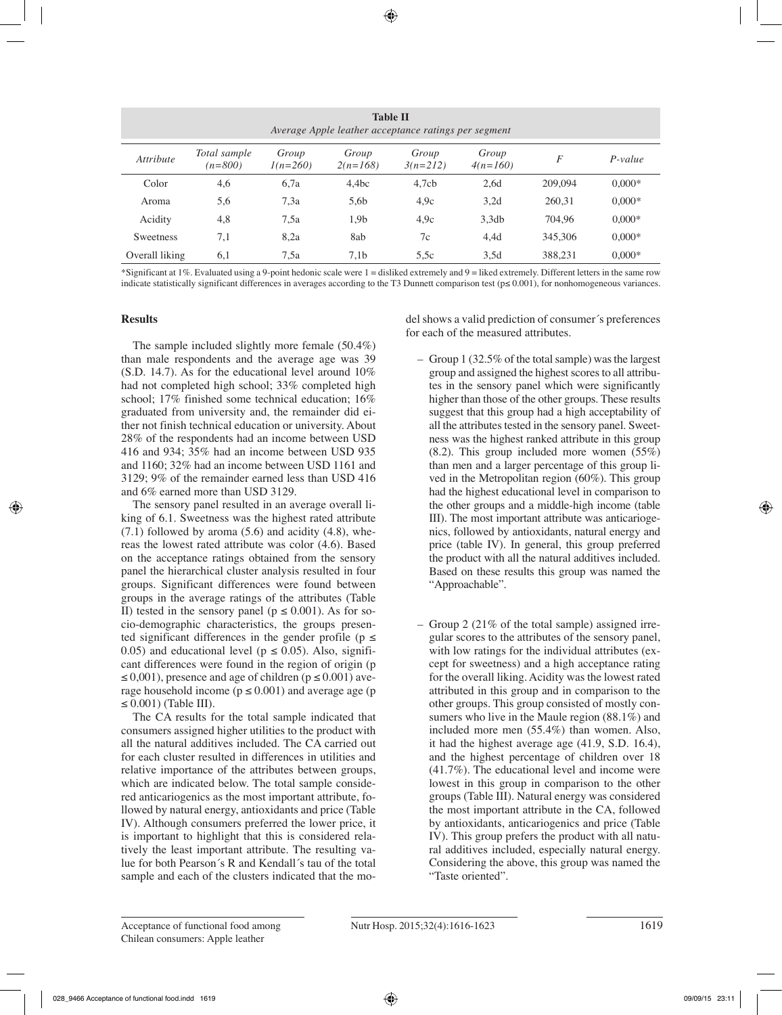| <b>Table II</b><br>Average Apple leather acceptance ratings per segment |                           |                     |                     |                     |                     |         |           |
|-------------------------------------------------------------------------|---------------------------|---------------------|---------------------|---------------------|---------------------|---------|-----------|
| <i><u><b>Attribute</b></u></i>                                          | Total sample<br>$(n=800)$ | Group<br>$1(n=260)$ | Group<br>$2(n=168)$ | Group<br>$3(n=212)$ | Group<br>$4(n=160)$ | F       | $P-value$ |
| Color                                                                   | 4,6                       | 6.7a                | 4,4bc               | 4,7cb               | 2.6d                | 209,094 | $0.000*$  |
| Aroma                                                                   | 5,6                       | 7.3a                | 5,6b                | 4.9c                | 3,2d                | 260,31  | $0.000*$  |
| Acidity                                                                 | 4,8                       | 7.5a                | 1,9b                | 4.9c                | 3,3db               | 704.96  | $0.000*$  |
| <b>Sweetness</b>                                                        | 7,1                       | 8.2a                | 8ab                 | 7c                  | 4,4d                | 345,306 | $0.000*$  |
| Overall liking                                                          | 6,1                       | 7.5a                | 7.1 <sub>b</sub>    | 5.5c                | 3,5d                | 388,231 | $0.000*$  |

\*Significant at 1%. Evaluated using a 9-point hedonic scale were 1 = disliked extremely and 9 = liked extremely. Different letters in the same row indicate statistically significant differences in averages according to the T3 Dunnett comparison test (p≤ 0.001), for nonhomogeneous variances.

# **Results**

The sample included slightly more female (50.4%) than male respondents and the average age was 39 (S.D. 14.7). As for the educational level around 10% had not completed high school; 33% completed high school; 17% finished some technical education; 16% graduated from university and, the remainder did either not finish technical education or university. About 28% of the respondents had an income between USD 416 and 934; 35% had an income between USD 935 and 1160; 32% had an income between USD 1161 and 3129; 9% of the remainder earned less than USD 416 and 6% earned more than USD 3129.

The sensory panel resulted in an average overall liking of 6.1. Sweetness was the highest rated attribute  $(7.1)$  followed by aroma  $(5.6)$  and acidity  $(4.8)$ , whereas the lowest rated attribute was color (4.6). Based on the acceptance ratings obtained from the sensory panel the hierarchical cluster analysis resulted in four groups. Significant differences were found between groups in the average ratings of the attributes (Table II) tested in the sensory panel ( $p \le 0.001$ ). As for socio-demographic characteristics, the groups presented significant differences in the gender profile ( $p \le$ 0.05) and educational level ( $p \le 0.05$ ). Also, significant differences were found in the region of origin (p  $\leq 0.001$ ), presence and age of children ( $p \leq 0.001$ ) average household income ( $p \le 0.001$ ) and average age (p  $\leq$  0.001) (Table III).

The CA results for the total sample indicated that consumers assigned higher utilities to the product with all the natural additives included. The CA carried out for each cluster resulted in differences in utilities and relative importance of the attributes between groups, which are indicated below. The total sample considered anticariogenics as the most important attribute, followed by natural energy, antioxidants and price (Table IV). Although consumers preferred the lower price, it is important to highlight that this is considered relatively the least important attribute. The resulting value for both Pearson´s R and Kendall´s tau of the total sample and each of the clusters indicated that the model shows a valid prediction of consumer´s preferences for each of the measured attributes.

- Group 1 (32.5% of the total sample) was the largest group and assigned the highest scores to all attributes in the sensory panel which were significantly higher than those of the other groups. These results suggest that this group had a high acceptability of all the attributes tested in the sensory panel. Sweetness was the highest ranked attribute in this group  $(8.2)$ . This group included more women  $(55\%)$ than men and a larger percentage of this group lived in the Metropolitan region (60%). This group had the highest educational level in comparison to the other groups and a middle-high income (table III). The most important attribute was anticariogenics, followed by antioxidants, natural energy and price (table IV). In general, this group preferred the product with all the natural additives included. Based on these results this group was named the "Approachable".
- Group 2 (21% of the total sample) assigned irregular scores to the attributes of the sensory panel, with low ratings for the individual attributes (except for sweetness) and a high acceptance rating for the overall liking. Acidity was the lowest rated attributed in this group and in comparison to the other groups. This group consisted of mostly consumers who live in the Maule region (88.1%) and included more men (55.4%) than women. Also, it had the highest average age (41.9, S.D. 16.4), and the highest percentage of children over 18 (41.7%). The educational level and income were lowest in this group in comparison to the other groups (Table III). Natural energy was considered the most important attribute in the CA, followed by antioxidants, anticariogenics and price (Table IV). This group prefers the product with all natural additives included, especially natural energy. Considering the above, this group was named the "Taste oriented".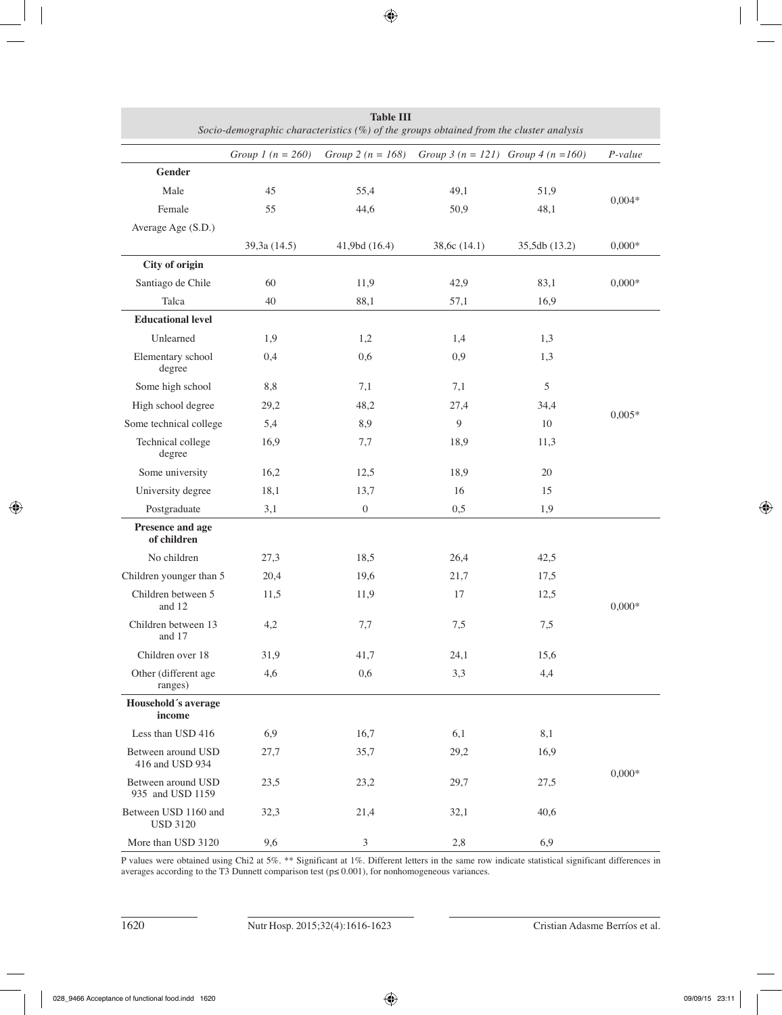| Table III<br>Socio-demographic characteristics (%) of the groups obtained from the cluster analysis |                              |                       |                                         |               |          |  |
|-----------------------------------------------------------------------------------------------------|------------------------------|-----------------------|-----------------------------------------|---------------|----------|--|
|                                                                                                     | Group 1 ( $n = 260$ )        | Group 2 ( $n = 168$ ) | Group $3 (n = 121)$ Group $4 (n = 160)$ |               | P-value  |  |
| Gender                                                                                              |                              |                       |                                         |               |          |  |
| Male                                                                                                | 45                           | 55,4                  | 49,1                                    | 51,9          |          |  |
| Female                                                                                              | 55                           | 44,6                  | 50,9                                    | 48,1          | $0,004*$ |  |
| Average Age (S.D.)                                                                                  |                              |                       |                                         |               |          |  |
|                                                                                                     | 39,3a (14.5)                 | 41,9bd (16.4)         | 38,6c (14.1)                            | 35,5db (13.2) | $0,000*$ |  |
| City of origin                                                                                      |                              |                       |                                         |               |          |  |
| Santiago de Chile                                                                                   | 60                           | 11,9                  | 42,9                                    | 83,1          | $0,000*$ |  |
| Talca                                                                                               | 40                           | 88,1                  | 57,1                                    | 16,9          |          |  |
| <b>Educational level</b>                                                                            |                              |                       |                                         |               |          |  |
| Unlearned                                                                                           | 1,9                          | 1,2                   | 1,4                                     | 1,3           |          |  |
| Elementary school<br>degree                                                                         | 0,4                          | 0,6                   | 0,9                                     | 1,3           |          |  |
| Some high school                                                                                    | 8,8                          | 7,1                   | 7,1                                     | 5             |          |  |
| High school degree                                                                                  | 29,2                         | 48,2                  | 27,4                                    | 34,4          | $0,005*$ |  |
| Some technical college                                                                              | 5,4                          | 8,9                   | 9                                       | 10            |          |  |
| Technical college<br>degree                                                                         | 16,9                         | 7,7                   | 18,9                                    | 11,3          |          |  |
| Some university                                                                                     | 16,2                         | 12,5                  | 18,9                                    | 20            |          |  |
| University degree                                                                                   | 18,1                         | 13,7                  | 16                                      | 15            |          |  |
| Postgraduate                                                                                        | 3,1                          | $\boldsymbol{0}$      | 0,5                                     | 1,9           |          |  |
| Presence and age<br>of children                                                                     |                              |                       |                                         |               |          |  |
| No children                                                                                         | 27,3                         | 18,5                  | 26,4                                    | 42,5          |          |  |
| Children younger than 5                                                                             | 20,4                         | 19,6                  | 21,7                                    | 17,5          |          |  |
| Children between 5<br>and 12                                                                        | 11,5                         | 11,9                  | 17                                      | 12,5          | $0,000*$ |  |
| Children between 13<br>and 17                                                                       | 4,2                          | 7,7                   | 7,5                                     | 7,5           |          |  |
| Children over 18                                                                                    | 31,9                         | 41,7                  | 24,1                                    | 15,6          |          |  |
| Other (different age<br>ranges)                                                                     | 4,6                          | 0,6                   | 3,3                                     | 4,4           |          |  |
| Household's average<br>income                                                                       |                              |                       |                                         |               |          |  |
| Less than USD 416                                                                                   | 6,9                          | 16,7                  | 6,1                                     | 8,1           |          |  |
| Between around USD<br>416 and USD 934                                                               | 27,7                         | 35,7                  | 29,2                                    | 16,9          | $0,000*$ |  |
| Between around USD<br>935 and USD 1159                                                              | 23,2<br>29,7<br>27,5<br>23,5 |                       |                                         |               |          |  |
| Between USD 1160 and<br><b>USD 3120</b>                                                             | 32,3                         | 21,4                  | 32,1                                    | 40,6          |          |  |
| More than USD 3120                                                                                  | 9,6                          | 3                     | 2,8                                     | 6,9           |          |  |

**Table III** 

P values were obtained using Chi2 at 5%. \*\* Significant at 1%. Different letters in the same row indicate statistical significant differences in averages according to the T3 Dunnett comparison test ( $p \le 0.001$ ), for nonhomogeneous variances.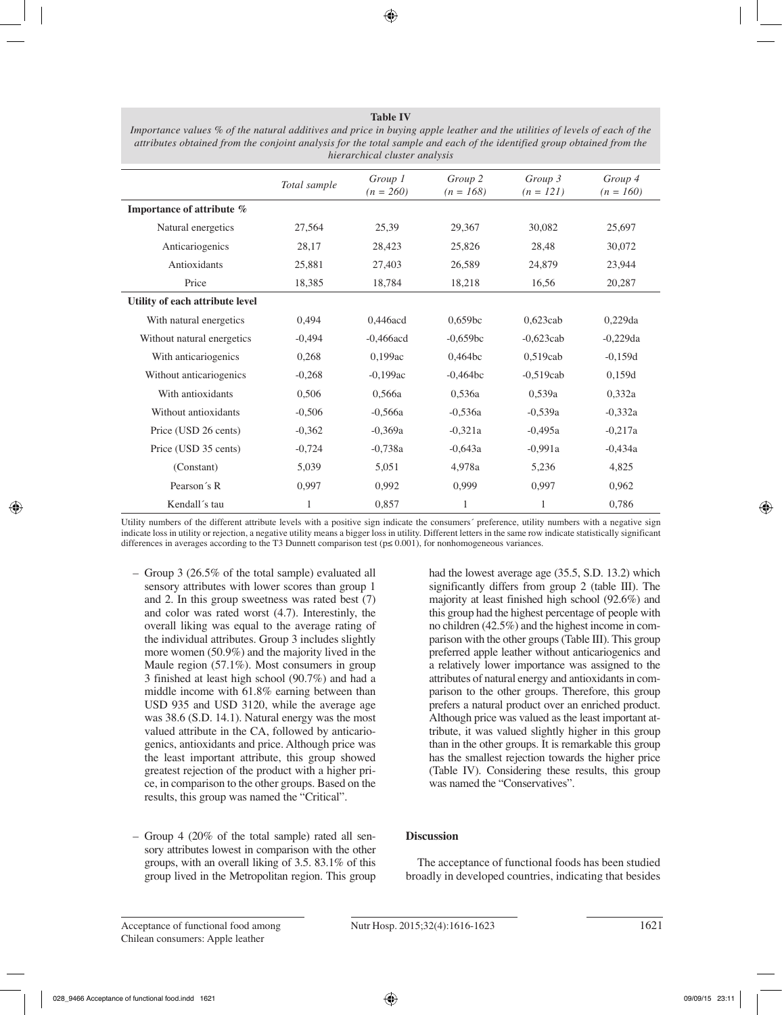| hierarchical cluster analysis   |              |                        |                        |                        |                        |  |
|---------------------------------|--------------|------------------------|------------------------|------------------------|------------------------|--|
|                                 | Total sample | Group 1<br>$(n = 260)$ | Group 2<br>$(n = 168)$ | Group 3<br>$(n = 121)$ | Group 4<br>$(n = 160)$ |  |
| Importance of attribute %       |              |                        |                        |                        |                        |  |
| Natural energetics              | 27,564       | 25,39                  | 29,367                 | 30,082                 | 25,697                 |  |
| Anticariogenics                 | 28,17        | 28,423                 | 25,826                 | 28,48                  | 30,072                 |  |
| Antioxidants                    | 25,881       | 27,403                 | 26,589                 | 24,879                 | 23,944                 |  |
| Price                           | 18,385       | 18,784                 | 18,218                 | 16,56                  | 20,287                 |  |
| Utility of each attribute level |              |                        |                        |                        |                        |  |
| With natural energetics         | 0,494        | 0,446acd               | 0,659bc                | $0,623$ cab            | $0,229$ da             |  |
| Without natural energetics      | $-0,494$     | $-0,466$ acd           | $-0,659bc$             | $-0,623$ cab           | $-0,229da$             |  |
| With anticariogenics            | 0,268        | 0,199ac                | 0,464bc                | $0.519$ cab            | $-0,159d$              |  |
| Without anticariogenics         | $-0,268$     | $-0,199ac$             | $-0,464bc$             | $-0,519$ cab           | 0,159d                 |  |
| With antioxidants               | 0,506        | 0.566a                 | 0,536a                 | 0.539a                 | 0,332a                 |  |
| Without antioxidants            | $-0,506$     | $-0,566a$              | $-0,536a$              | $-0,539a$              | $-0,332a$              |  |
| Price (USD 26 cents)            | $-0,362$     | $-0,369a$              | $-0,321a$              | $-0,495a$              | $-0,217a$              |  |
| Price (USD 35 cents)            | $-0,724$     | $-0,738a$              | $-0,643a$              | $-0,991a$              | $-0,434a$              |  |
| (Constant)                      | 5,039        | 5,051                  | 4,978a                 | 5,236                  | 4,825                  |  |
| Pearson's R                     | 0,997        | 0,992                  | 0,999                  | 0,997                  | 0,962                  |  |
| Kendall's tau                   | 1            | 0,857                  | 1                      | 1                      | 0,786                  |  |

**Table IV** *Importance values % of the natural additives and price in buying apple leather and the utilities of levels of each of the attributes obtained from the conjoint analysis for the total sample and each of the identified group obtained from the* 

Utility numbers of the different attribute levels with a positive sign indicate the consumers´ preference, utility numbers with a negative sign indicate loss in utility or rejection, a negative utility means a bigger loss in utility. Different letters in the same row indicate statistically significant differences in averages according to the T3 Dunnett comparison test (p≤ 0.001), for nonhomogeneous variances.

- Group 3 (26.5% of the total sample) evaluated all sensory attributes with lower scores than group 1 and 2. In this group sweetness was rated best (7) and color was rated worst (4.7). Interestinly, the overall liking was equal to the average rating of the individual attributes. Group 3 includes slightly more women (50.9%) and the majority lived in the Maule region (57.1%). Most consumers in group 3 finished at least high school (90.7%) and had a middle income with 61.8% earning between than USD 935 and USD 3120, while the average age was 38.6 (S.D. 14.1). Natural energy was the most valued attribute in the CA, followed by anticariogenics, antioxidants and price. Although price was the least important attribute, this group showed greatest rejection of the product with a higher price, in comparison to the other groups. Based on the results, this group was named the "Critical".
- Group 4 (20% of the total sample) rated all sensory attributes lowest in comparison with the other groups, with an overall liking of 3.5. 83.1% of this group lived in the Metropolitan region. This group

had the lowest average age (35.5, S.D. 13.2) which significantly differs from group 2 (table III). The majority at least finished high school (92.6%) and this group had the highest percentage of people with no children (42.5%) and the highest income in comparison with the other groups (Table III). This group preferred apple leather without anticariogenics and a relatively lower importance was assigned to the attributes of natural energy and antioxidants in comparison to the other groups. Therefore, this group prefers a natural product over an enriched product. Although price was valued as the least important attribute, it was valued slightly higher in this group than in the other groups. It is remarkable this group has the smallest rejection towards the higher price (Table IV). Considering these results, this group was named the "Conservatives".

# **Discussion**

The acceptance of functional foods has been studied broadly in developed countries, indicating that besides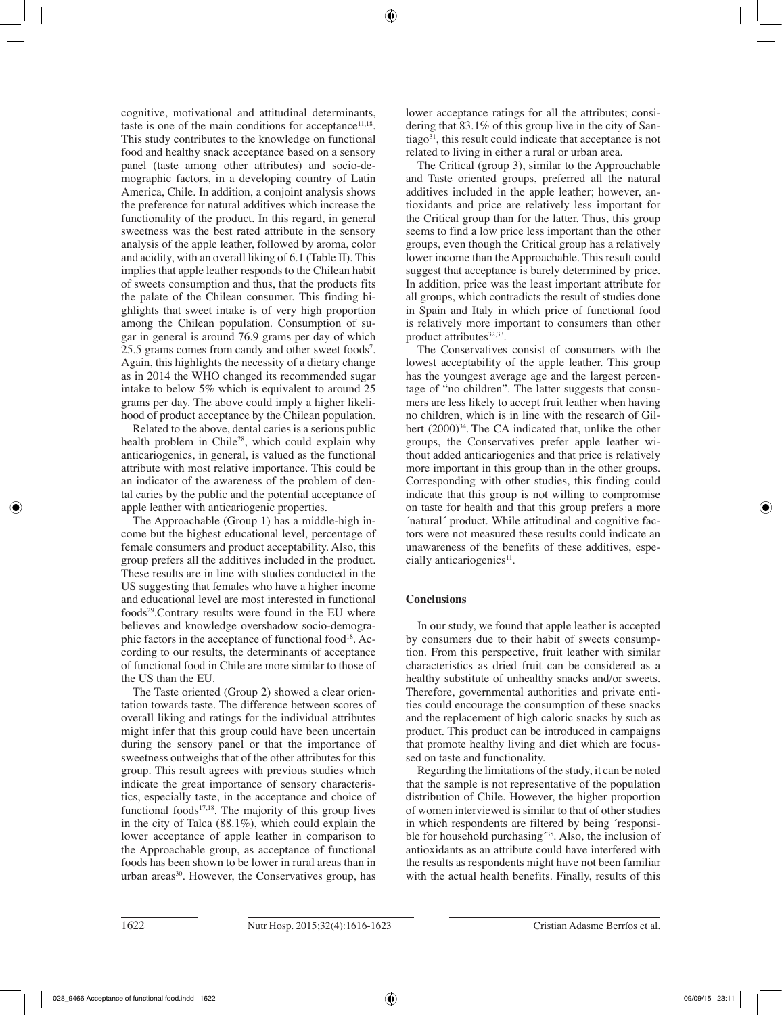cognitive, motivational and attitudinal determinants, taste is one of the main conditions for acceptance<sup>11,18</sup>. This study contributes to the knowledge on functional food and healthy snack acceptance based on a sensory panel (taste among other attributes) and socio-demographic factors, in a developing country of Latin America, Chile. In addition, a conjoint analysis shows the preference for natural additives which increase the functionality of the product. In this regard, in general sweetness was the best rated attribute in the sensory analysis of the apple leather, followed by aroma, color and acidity, with an overall liking of 6.1 (Table II). This implies that apple leather responds to the Chilean habit of sweets consumption and thus, that the products fits the palate of the Chilean consumer. This finding highlights that sweet intake is of very high proportion among the Chilean population. Consumption of sugar in general is around 76.9 grams per day of which 25.5 grams comes from candy and other sweet foods<sup>7</sup>. Again, this highlights the necessity of a dietary change as in 2014 the WHO changed its recommended sugar intake to below 5% which is equivalent to around 25 grams per day. The above could imply a higher likelihood of product acceptance by the Chilean population.

Related to the above, dental caries is a serious public health problem in Chile<sup>28</sup>, which could explain why anticariogenics, in general, is valued as the functional attribute with most relative importance. This could be an indicator of the awareness of the problem of dental caries by the public and the potential acceptance of apple leather with anticariogenic properties.

The Approachable (Group 1) has a middle-high income but the highest educational level, percentage of female consumers and product acceptability. Also, this group prefers all the additives included in the product. These results are in line with studies conducted in the US suggesting that females who have a higher income and educational level are most interested in functional foods29.Contrary results were found in the EU where believes and knowledge overshadow socio-demographic factors in the acceptance of functional food<sup>18</sup>. According to our results, the determinants of acceptance of functional food in Chile are more similar to those of the US than the EU.

The Taste oriented (Group 2) showed a clear orientation towards taste. The difference between scores of overall liking and ratings for the individual attributes might infer that this group could have been uncertain during the sensory panel or that the importance of sweetness outweighs that of the other attributes for this group. This result agrees with previous studies which indicate the great importance of sensory characteristics, especially taste, in the acceptance and choice of functional foods $17,18$ . The majority of this group lives in the city of Talca (88.1%), which could explain the lower acceptance of apple leather in comparison to the Approachable group, as acceptance of functional foods has been shown to be lower in rural areas than in urban areas<sup>30</sup>. However, the Conservatives group, has lower acceptance ratings for all the attributes; considering that 83.1% of this group live in the city of San $t iago<sup>31</sup>$ , this result could indicate that acceptance is not related to living in either a rural or urban area.

The Critical (group 3), similar to the Approachable and Taste oriented groups, preferred all the natural additives included in the apple leather; however, antioxidants and price are relatively less important for the Critical group than for the latter. Thus, this group seems to find a low price less important than the other groups, even though the Critical group has a relatively lower income than the Approachable. This result could suggest that acceptance is barely determined by price. In addition, price was the least important attribute for all groups, which contradicts the result of studies done in Spain and Italy in which price of functional food is relatively more important to consumers than other product attributes $32,33$ .

The Conservatives consist of consumers with the lowest acceptability of the apple leather. This group has the youngest average age and the largest percentage of "no children". The latter suggests that consumers are less likely to accept fruit leather when having no children, which is in line with the research of Gilbert  $(2000)^{34}$ . The CA indicated that, unlike the other groups, the Conservatives prefer apple leather without added anticariogenics and that price is relatively more important in this group than in the other groups. Corresponding with other studies, this finding could indicate that this group is not willing to compromise on taste for health and that this group prefers a more ´natural´ product. While attitudinal and cognitive factors were not measured these results could indicate an unawareness of the benefits of these additives, especially anticariogenics $11$ .

# **Conclusions**

In our study, we found that apple leather is accepted by consumers due to their habit of sweets consumption. From this perspective, fruit leather with similar characteristics as dried fruit can be considered as a healthy substitute of unhealthy snacks and/or sweets. Therefore, governmental authorities and private entities could encourage the consumption of these snacks and the replacement of high caloric snacks by such as product. This product can be introduced in campaigns that promote healthy living and diet which are focussed on taste and functionality.

Regarding the limitations of the study, it can be noted that the sample is not representative of the population distribution of Chile. However, the higher proportion of women interviewed is similar to that of other studies in which respondents are filtered by being ´responsible for household purchasing<sup>35</sup>. Also, the inclusion of antioxidants as an attribute could have interfered with the results as respondents might have not been familiar with the actual health benefits. Finally, results of this